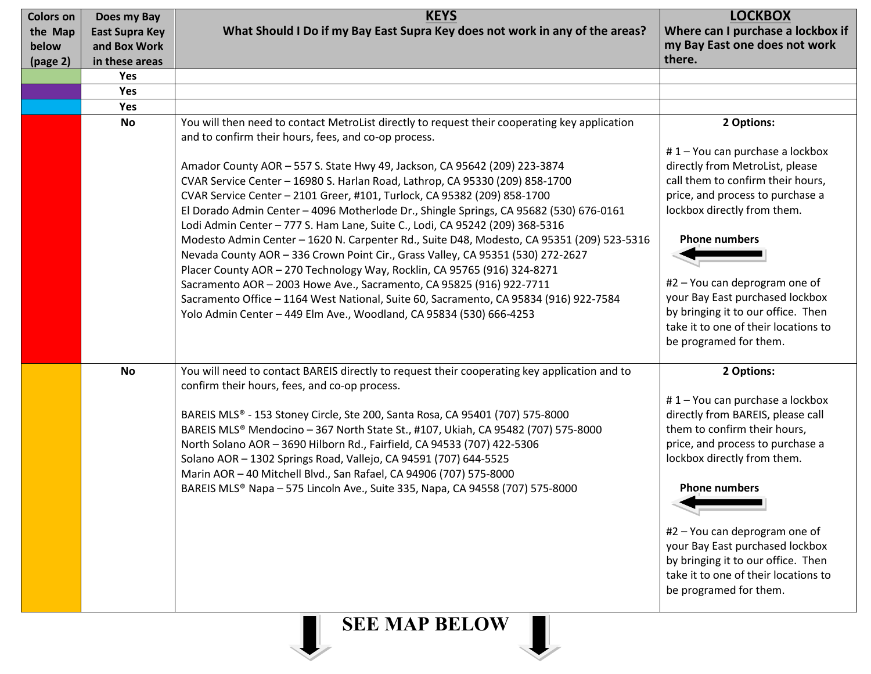| <b>Colors on</b>     | Does my Bay           | <b>KEYS</b>                                                                                   | <b>LOCKBOX</b>                       |
|----------------------|-----------------------|-----------------------------------------------------------------------------------------------|--------------------------------------|
| the Map              | <b>East Supra Key</b> | What Should I Do if my Bay East Supra Key does not work in any of the areas?                  | Where can I purchase a lockbox if    |
| below                | and Box Work          |                                                                                               | my Bay East one does not work        |
| (page 2)             | in these areas        |                                                                                               | there.                               |
|                      | Yes                   |                                                                                               |                                      |
|                      | Yes                   |                                                                                               |                                      |
|                      | Yes                   |                                                                                               |                                      |
|                      | <b>No</b>             | You will then need to contact MetroList directly to request their cooperating key application | 2 Options:                           |
|                      |                       | and to confirm their hours, fees, and co-op process.                                          |                                      |
|                      |                       |                                                                                               | #1-You can purchase a lockbox        |
|                      |                       | Amador County AOR - 557 S. State Hwy 49, Jackson, CA 95642 (209) 223-3874                     | directly from MetroList, please      |
|                      |                       | CVAR Service Center - 16980 S. Harlan Road, Lathrop, CA 95330 (209) 858-1700                  | call them to confirm their hours,    |
|                      |                       | CVAR Service Center - 2101 Greer, #101, Turlock, CA 95382 (209) 858-1700                      | price, and process to purchase a     |
|                      |                       | El Dorado Admin Center - 4096 Motherlode Dr., Shingle Springs, CA 95682 (530) 676-0161        | lockbox directly from them.          |
|                      |                       | Lodi Admin Center - 777 S. Ham Lane, Suite C., Lodi, CA 95242 (209) 368-5316                  |                                      |
|                      |                       | Modesto Admin Center - 1620 N. Carpenter Rd., Suite D48, Modesto, CA 95351 (209) 523-5316     | <b>Phone numbers</b>                 |
|                      |                       | Nevada County AOR - 336 Crown Point Cir., Grass Valley, CA 95351 (530) 272-2627               |                                      |
|                      |                       | Placer County AOR - 270 Technology Way, Rocklin, CA 95765 (916) 324-8271                      |                                      |
|                      |                       | Sacramento AOR - 2003 Howe Ave., Sacramento, CA 95825 (916) 922-7711                          | #2 - You can deprogram one of        |
|                      |                       | Sacramento Office - 1164 West National, Suite 60, Sacramento, CA 95834 (916) 922-7584         | your Bay East purchased lockbox      |
|                      |                       | Yolo Admin Center - 449 Elm Ave., Woodland, CA 95834 (530) 666-4253                           | by bringing it to our office. Then   |
|                      |                       |                                                                                               | take it to one of their locations to |
|                      |                       |                                                                                               | be programed for them.               |
|                      |                       |                                                                                               |                                      |
|                      | <b>No</b>             | You will need to contact BAREIS directly to request their cooperating key application and to  | 2 Options:                           |
|                      |                       | confirm their hours, fees, and co-op process.                                                 |                                      |
|                      |                       |                                                                                               | #1-You can purchase a lockbox        |
|                      |                       | BAREIS MLS® - 153 Stoney Circle, Ste 200, Santa Rosa, CA 95401 (707) 575-8000                 | directly from BAREIS, please call    |
|                      |                       | BAREIS MLS® Mendocino - 367 North State St., #107, Ukiah, CA 95482 (707) 575-8000             | them to confirm their hours,         |
|                      |                       | North Solano AOR - 3690 Hilborn Rd., Fairfield, CA 94533 (707) 422-5306                       | price, and process to purchase a     |
|                      |                       | Solano AOR - 1302 Springs Road, Vallejo, CA 94591 (707) 644-5525                              | lockbox directly from them.          |
|                      |                       | Marin AOR - 40 Mitchell Blvd., San Rafael, CA 94906 (707) 575-8000                            |                                      |
|                      |                       | BAREIS MLS® Napa - 575 Lincoln Ave., Suite 335, Napa, CA 94558 (707) 575-8000                 | <b>Phone numbers</b>                 |
|                      |                       |                                                                                               |                                      |
|                      |                       |                                                                                               |                                      |
|                      |                       |                                                                                               | #2 - You can deprogram one of        |
|                      |                       |                                                                                               | your Bay East purchased lockbox      |
|                      |                       |                                                                                               | by bringing it to our office. Then   |
|                      |                       |                                                                                               | take it to one of their locations to |
|                      |                       |                                                                                               | be programed for them.               |
|                      |                       |                                                                                               |                                      |
| <b>SEE MAP BELOW</b> |                       |                                                                                               |                                      |
|                      |                       |                                                                                               |                                      |
|                      |                       |                                                                                               |                                      |